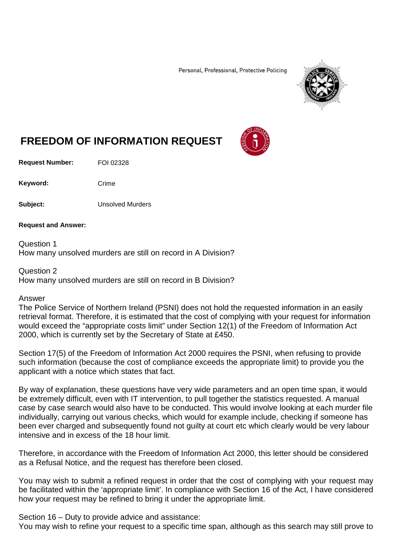Personal, Professional, Protective Policing



## **FREEDOM OF INFORMATION REQUEST**

**Request Number:** FOI 02328

Keyword: Crime

**Subject:** Unsolved Murders

**Request and Answer:**

Question 1 How many unsolved murders are still on record in A Division?

Question 2

How many unsolved murders are still on record in B Division?

## Answer

The Police Service of Northern Ireland (PSNI) does not hold the requested information in an easily retrieval format. Therefore, it is estimated that the cost of complying with your request for information would exceed the "appropriate costs limit" under Section 12(1) of the Freedom of Information Act 2000, which is currently set by the Secretary of State at £450.

Section 17(5) of the Freedom of Information Act 2000 requires the PSNI, when refusing to provide such information (because the cost of compliance exceeds the appropriate limit) to provide you the applicant with a notice which states that fact.

By way of explanation, these questions have very wide parameters and an open time span, it would be extremely difficult, even with IT intervention, to pull together the statistics requested. A manual case by case search would also have to be conducted. This would involve looking at each murder file individually, carrying out various checks, which would for example include, checking if someone has been ever charged and subsequently found not guilty at court etc which clearly would be very labour intensive and in excess of the 18 hour limit.

Therefore, in accordance with the Freedom of Information Act 2000, this letter should be considered as a Refusal Notice, and the request has therefore been closed.

You may wish to submit a refined request in order that the cost of complying with your request may be facilitated within the 'appropriate limit'. In compliance with Section 16 of the Act, I have considered how your request may be refined to bring it under the appropriate limit.

Section 16 – Duty to provide advice and assistance: You may wish to refine your request to a specific time span, although as this search may still prove to